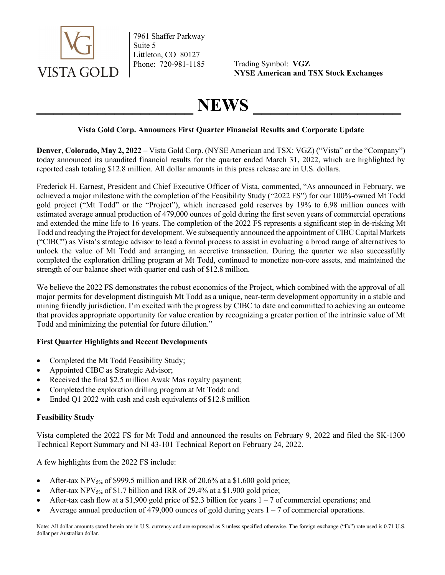

7961 Shaffer Parkway Suite 5 Littleton, CO 80127

Phone: 720-981-1185 Trading Symbol: VGZ NYSE American and TSX Stock Exchanges

# NEWS

## Vista Gold Corp. Announces First Quarter Financial Results and Corporate Update

Denver, Colorado, May 2, 2022 – Vista Gold Corp. (NYSE American and TSX: VGZ) ("Vista" or the "Company") today announced its unaudited financial results for the quarter ended March 31, 2022, which are highlighted by reported cash totaling \$12.8 million. All dollar amounts in this press release are in U.S. dollars.

Frederick H. Earnest, President and Chief Executive Officer of Vista, commented, "As announced in February, we achieved a major milestone with the completion of the Feasibility Study ("2022 FS") for our 100%-owned Mt Todd gold project ("Mt Todd" or the "Project"), which increased gold reserves by 19% to 6.98 million ounces with estimated average annual production of 479,000 ounces of gold during the first seven years of commercial operations and extended the mine life to 16 years. The completion of the 2022 FS represents a significant step in de-risking Mt Todd and readying the Project for development. We subsequently announced the appointment of CIBC Capital Markets ("CIBC") as Vista's strategic advisor to lead a formal process to assist in evaluating a broad range of alternatives to unlock the value of Mt Todd and arranging an accretive transaction. During the quarter we also successfully completed the exploration drilling program at Mt Todd, continued to monetize non-core assets, and maintained the strength of our balance sheet with quarter end cash of \$12.8 million.

We believe the 2022 FS demonstrates the robust economics of the Project, which combined with the approval of all major permits for development distinguish Mt Todd as a unique, near-term development opportunity in a stable and mining friendly jurisdiction. I'm excited with the progress by CIBC to date and committed to achieving an outcome that provides appropriate opportunity for value creation by recognizing a greater portion of the intrinsic value of Mt Todd and minimizing the potential for future dilution."

# First Quarter Highlights and Recent Developments

- Completed the Mt Todd Feasibility Study;
- Appointed CIBC as Strategic Advisor;
- Received the final \$2.5 million Awak Mas royalty payment;
- Completed the exploration drilling program at Mt Todd; and
- Ended Q1 2022 with cash and cash equivalents of \$12.8 million

# Feasibility Study

Vista completed the 2022 FS for Mt Todd and announced the results on February 9, 2022 and filed the SK-1300 Technical Report Summary and NI 43-101 Technical Report on February 24, 2022.

A few highlights from the 2022 FS include:

- After-tax NPV $_{5\%}$  of \$999.5 million and IRR of 20.6% at a \$1,600 gold price;
- After-tax NPV<sub>5%</sub> of \$1.7 billion and IRR of 29.4% at a \$1,900 gold price;
- After-tax cash flow at a \$1,900 gold price of \$2.3 billion for years  $1 7$  of commercial operations; and
- Average annual production of 479,000 ounces of gold during years  $1 7$  of commercial operations.

Note: All dollar amounts stated herein are in U.S. currency and are expressed as \$ unless specified otherwise. The foreign exchange ("Fx") rate used is 0.71 U.S. dollar per Australian dollar.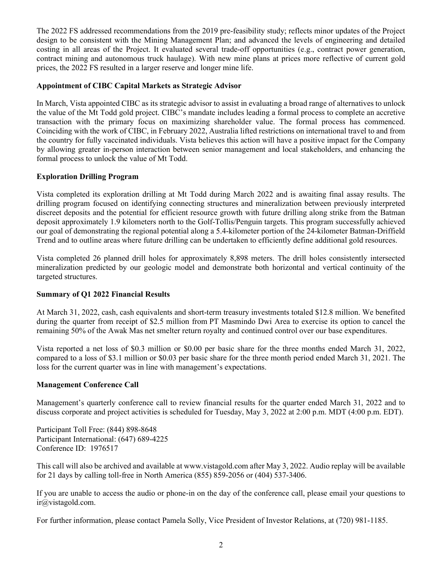The 2022 FS addressed recommendations from the 2019 pre-feasibility study; reflects minor updates of the Project design to be consistent with the Mining Management Plan; and advanced the levels of engineering and detailed costing in all areas of the Project. It evaluated several trade-off opportunities (e.g., contract power generation, contract mining and autonomous truck haulage). With new mine plans at prices more reflective of current gold prices, the 2022 FS resulted in a larger reserve and longer mine life.

## Appointment of CIBC Capital Markets as Strategic Advisor

In March, Vista appointed CIBC as its strategic advisor to assist in evaluating a broad range of alternatives to unlock the value of the Mt Todd gold project. CIBC's mandate includes leading a formal process to complete an accretive transaction with the primary focus on maximizing shareholder value. The formal process has commenced. Coinciding with the work of CIBC, in February 2022, Australia lifted restrictions on international travel to and from the country for fully vaccinated individuals. Vista believes this action will have a positive impact for the Company by allowing greater in-person interaction between senior management and local stakeholders, and enhancing the formal process to unlock the value of Mt Todd.

## Exploration Drilling Program

Vista completed its exploration drilling at Mt Todd during March 2022 and is awaiting final assay results. The drilling program focused on identifying connecting structures and mineralization between previously interpreted discreet deposits and the potential for efficient resource growth with future drilling along strike from the Batman deposit approximately 1.9 kilometers north to the Golf-Tollis/Penguin targets. This program successfully achieved our goal of demonstrating the regional potential along a 5.4-kilometer portion of the 24-kilometer Batman-Driffield Trend and to outline areas where future drilling can be undertaken to efficiently define additional gold resources.

Vista completed 26 planned drill holes for approximately 8,898 meters. The drill holes consistently intersected mineralization predicted by our geologic model and demonstrate both horizontal and vertical continuity of the targeted structures.

#### Summary of Q1 2022 Financial Results

At March 31, 2022, cash, cash equivalents and short-term treasury investments totaled \$12.8 million. We benefited during the quarter from receipt of \$2.5 million from PT Masmindo Dwi Area to exercise its option to cancel the remaining 50% of the Awak Mas net smelter return royalty and continued control over our base expenditures.

Vista reported a net loss of \$0.3 million or \$0.00 per basic share for the three months ended March 31, 2022, compared to a loss of \$3.1 million or \$0.03 per basic share for the three month period ended March 31, 2021. The loss for the current quarter was in line with management's expectations.

#### Management Conference Call

Management's quarterly conference call to review financial results for the quarter ended March 31, 2022 and to discuss corporate and project activities is scheduled for Tuesday, May 3, 2022 at 2:00 p.m. MDT (4:00 p.m. EDT).

Participant Toll Free: (844) 898-8648 Participant International: (647) 689-4225 Conference ID: 1976517

This call will also be archived and available at www.vistagold.com after May 3, 2022. Audio replay will be available for 21 days by calling toll-free in North America (855) 859-2056 or (404) 537-3406.

If you are unable to access the audio or phone-in on the day of the conference call, please email your questions to ir@vistagold.com.

For further information, please contact Pamela Solly, Vice President of Investor Relations, at (720) 981-1185.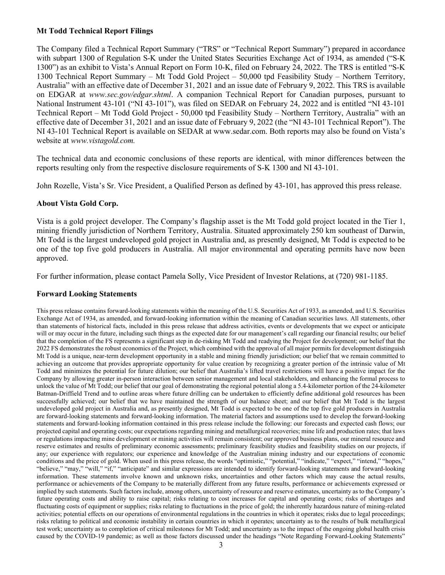#### Mt Todd Technical Report Filings

The Company filed a Technical Report Summary ("TRS" or "Technical Report Summary") prepared in accordance with subpart 1300 of Regulation S-K under the United States Securities Exchange Act of 1934, as amended ("S-K 1300") as an exhibit to Vista's Annual Report on Form 10-K, filed on February 24, 2022. The TRS is entitled "S-K 1300 Technical Report Summary – Mt Todd Gold Project – 50,000 tpd Feasibility Study – Northern Territory, Australia" with an effective date of December 31, 2021 and an issue date of February 9, 2022. This TRS is available on EDGAR at www.sec.gov/edgar.shtml. A companion Technical Report for Canadian purposes, pursuant to National Instrument 43-101 ("NI 43-101"), was filed on SEDAR on February 24, 2022 and is entitled "NI 43-101 Technical Report – Mt Todd Gold Project - 50,000 tpd Feasibility Study – Northern Territory, Australia" with an effective date of December 31, 2021 and an issue date of February 9, 2022 (the "NI 43-101 Technical Report"). The NI 43-101 Technical Report is available on SEDAR at www.sedar.com. Both reports may also be found on Vista's website at www.vistagold.com.

The technical data and economic conclusions of these reports are identical, with minor differences between the reports resulting only from the respective disclosure requirements of S-K 1300 and NI 43-101.

John Rozelle, Vista's Sr. Vice President, a Qualified Person as defined by 43-101, has approved this press release.

# About Vista Gold Corp.

Vista is a gold project developer. The Company's flagship asset is the Mt Todd gold project located in the Tier 1, mining friendly jurisdiction of Northern Territory, Australia. Situated approximately 250 km southeast of Darwin, Mt Todd is the largest undeveloped gold project in Australia and, as presently designed, Mt Todd is expected to be one of the top five gold producers in Australia. All major environmental and operating permits have now been approved.

For further information, please contact Pamela Solly, Vice President of Investor Relations, at (720) 981-1185.

# Forward Looking Statements

This press release contains forward-looking statements within the meaning of the U.S. Securities Act of 1933, as amended, and U.S. Securities Exchange Act of 1934, as amended, and forward-looking information within the meaning of Canadian securities laws. All statements, other than statements of historical facts, included in this press release that address activities, events or developments that we expect or anticipate will or may occur in the future, including such things as the expected date for our management's call regarding our financial results; our belief that the completion of the FS represents a significant step in de-risking Mt Todd and readying the Project for development; our belief that the 2022 FS demonstrates the robust economics of the Project, which combined with the approval of all major permits for development distinguish Mt Todd is a unique, near-term development opportunity in a stable and mining friendly jurisdiction; our belief that we remain committed to achieving an outcome that provides appropriate opportunity for value creation by recognizing a greater portion of the intrinsic value of Mt Todd and minimizes the potential for future dilution; our belief that Australia's lifted travel restrictions will have a positive impact for the Company by allowing greater in-person interaction between senior management and local stakeholders, and enhancing the formal process to unlock the value of Mt Todd; our belief that our goal of demonstrating the regional potential along a 5.4-kilometer portion of the 24-kilometer Batman-Driffield Trend and to outline areas where future drilling can be undertaken to efficiently define additional gold resources has been successfully achieved; our belief that we have maintained the strength of our balance sheet; and our belief that Mt Todd is the largest undeveloped gold project in Australia and, as presently designed, Mt Todd is expected to be one of the top five gold producers in Australia are forward-looking statements and forward-looking information. The material factors and assumptions used to develop the forward-looking statements and forward-looking information contained in this press release include the following: our forecasts and expected cash flows; our projected capital and operating costs; our expectations regarding mining and metallurgical recoveries; mine life and production rates; that laws or regulations impacting mine development or mining activities will remain consistent; our approved business plans, our mineral resource and reserve estimates and results of preliminary economic assessments; preliminary feasibility studies and feasibility studies on our projects, if any; our experience with regulators; our experience and knowledge of the Australian mining industry and our expectations of economic conditions and the price of gold. When used in this press release, the words "optimistic," "potential," "indicate," "expect," "intend," "hopes," "believe," "may," "will," "if," "anticipate" and similar expressions are intended to identify forward-looking statements and forward-looking information. These statements involve known and unknown risks, uncertainties and other factors which may cause the actual results, performance or achievements of the Company to be materially different from any future results, performance or achievements expressed or implied by such statements. Such factors include, among others, uncertainty of resource and reserve estimates, uncertainty as to the Company's future operating costs and ability to raise capital; risks relating to cost increases for capital and operating costs; risks of shortages and fluctuating costs of equipment or supplies; risks relating to fluctuations in the price of gold; the inherently hazardous nature of mining-related activities; potential effects on our operations of environmental regulations in the countries in which it operates; risks due to legal proceedings; risks relating to political and economic instability in certain countries in which it operates; uncertainty as to the results of bulk metallurgical test work; uncertainty as to completion of critical milestones for Mt Todd; and uncertainty as to the impact of the ongoing global health crisis caused by the COVID-19 pandemic; as well as those factors discussed under the headings "Note Regarding Forward-Looking Statements"